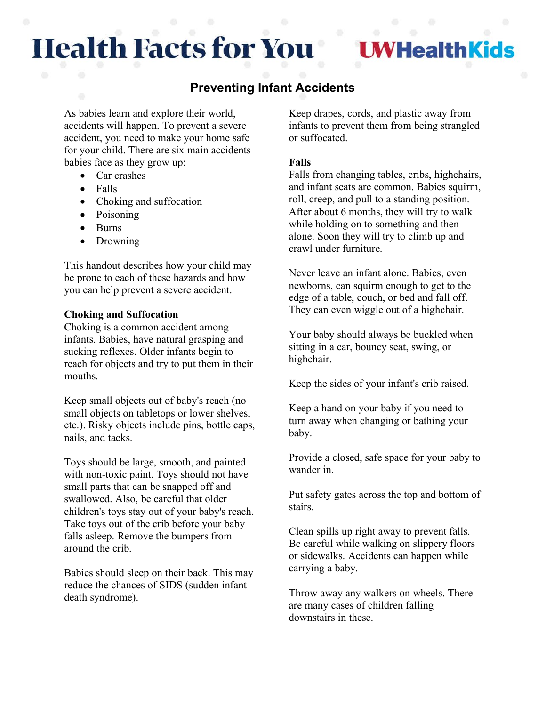# **Health Facts for You**

# **VHealthKids**

# **Preventing Infant Accidents**

As babies learn and explore their world, accidents will happen. To prevent a severe accident, you need to make your home safe for your child. There are six main accidents babies face as they grow up:

- Car crashes
- Falls
- Choking and suffocation
- Poisoning
- Burns
- Drowning

This handout describes how your child may be prone to each of these hazards and how you can help prevent a severe accident.

#### **Choking and Suffocation**

Choking is a common accident among infants. Babies, have natural grasping and sucking reflexes. Older infants begin to reach for objects and try to put them in their mouths.

Keep small objects out of baby's reach (no small objects on tabletops or lower shelves, etc.). Risky objects include pins, bottle caps, nails, and tacks.

Toys should be large, smooth, and painted with non-toxic paint. Toys should not have small parts that can be snapped off and swallowed. Also, be careful that older children's toys stay out of your baby's reach. Take toys out of the crib before your baby falls asleep. Remove the bumpers from around the crib.

Babies should sleep on their back. This may reduce the chances of SIDS (sudden infant death syndrome).

Keep drapes, cords, and plastic away from infants to prevent them from being strangled or suffocated.

#### **Falls**

Falls from changing tables, cribs, highchairs, and infant seats are common. Babies squirm, roll, creep, and pull to a standing position. After about 6 months, they will try to walk while holding on to something and then alone. Soon they will try to climb up and crawl under furniture.

Never leave an infant alone. Babies, even newborns, can squirm enough to get to the edge of a table, couch, or bed and fall off. They can even wiggle out of a highchair.

Your baby should always be buckled when sitting in a car, bouncy seat, swing, or highchair.

Keep the sides of your infant's crib raised.

Keep a hand on your baby if you need to turn away when changing or bathing your baby.

Provide a closed, safe space for your baby to wander in.

Put safety gates across the top and bottom of stairs.

Clean spills up right away to prevent falls. Be careful while walking on slippery floors or sidewalks. Accidents can happen while carrying a baby.

Throw away any walkers on wheels. There are many cases of children falling downstairs in these.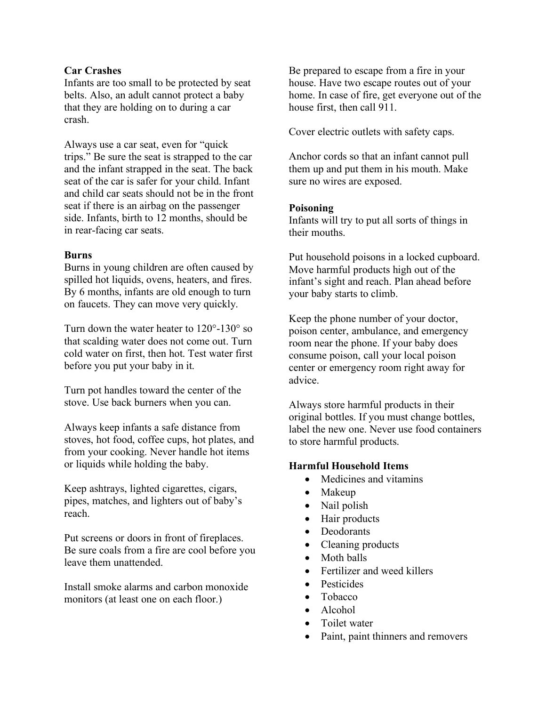#### **Car Crashes**

Infants are too small to be protected by seat belts. Also, an adult cannot protect a baby that they are holding on to during a car crash.

Always use a car seat, even for "quick trips." Be sure the seat is strapped to the car and the infant strapped in the seat. The back seat of the car is safer for your child. Infant and child car seats should not be in the front seat if there is an airbag on the passenger side. Infants, birth to 12 months, should be in rear-facing car seats.

#### **Burns**

Burns in young children are often caused by spilled hot liquids, ovens, heaters, and fires. By 6 months, infants are old enough to turn on faucets. They can move very quickly.

Turn down the water heater to 120°-130° so that scalding water does not come out. Turn cold water on first, then hot. Test water first before you put your baby in it.

Turn pot handles toward the center of the stove. Use back burners when you can.

Always keep infants a safe distance from stoves, hot food, coffee cups, hot plates, and from your cooking. Never handle hot items or liquids while holding the baby.

Keep ashtrays, lighted cigarettes, cigars, pipes, matches, and lighters out of baby's reach.

Put screens or doors in front of fireplaces. Be sure coals from a fire are cool before you leave them unattended.

Install smoke alarms and carbon monoxide monitors (at least one on each floor.)

Be prepared to escape from a fire in your house. Have two escape routes out of your home. In case of fire, get everyone out of the house first, then call 911.

Cover electric outlets with safety caps.

Anchor cords so that an infant cannot pull them up and put them in his mouth. Make sure no wires are exposed.

#### **Poisoning**

Infants will try to put all sorts of things in their mouths.

Put household poisons in a locked cupboard. Move harmful products high out of the infant's sight and reach. Plan ahead before your baby starts to climb.

Keep the phone number of your doctor, poison center, ambulance, and emergency room near the phone. If your baby does consume poison, call your local poison center or emergency room right away for advice.

Always store harmful products in their original bottles. If you must change bottles, label the new one. Never use food containers to store harmful products.

#### **Harmful Household Items**

- Medicines and vitamins
- Makeup
- Nail polish
- Hair products
- Deodorants
- Cleaning products
- Moth balls
- Fertilizer and weed killers
- **Pesticides**
- Tobacco
- Alcohol
- Toilet water
- Paint, paint thinners and removers